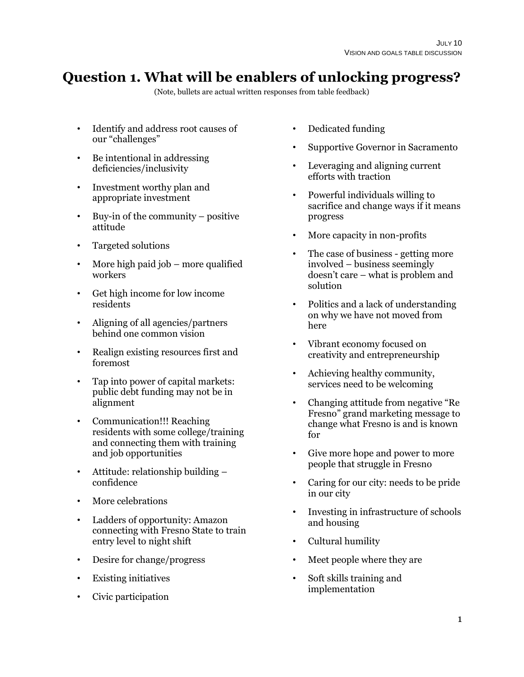# **Question 1. What will be enablers of unlocking progress?**

- Identify and address root causes of our "challenges"
- Be intentional in addressing deficiencies/inclusivity
- Investment worthy plan and appropriate investment
- Buy-in of the community positive attitude
- Targeted solutions
- More high paid job  $-$  more qualified workers
- Get high income for low income residents
- Aligning of all agencies/partners behind one common vision
- Realign existing resources first and foremost
- Tap into power of capital markets: public debt funding may not be in alignment
- Communication!!! Reaching residents with some college/training and connecting them with training and job opportunities
- Attitude: relationship building confidence
- More celebrations
- Ladders of opportunity: Amazon connecting with Fresno State to train entry level to night shift
- Desire for change/progress
- Existing initiatives
- Civic participation
- Dedicated funding
- Supportive Governor in Sacramento
- Leveraging and aligning current efforts with traction
- Powerful individuals willing to sacrifice and change ways if it means progress
- More capacity in non-profits
- The case of business getting more involved – business seemingly doesn't care – what is problem and solution
- Politics and a lack of understanding on why we have not moved from here
- Vibrant economy focused on creativity and entrepreneurship
- Achieving healthy community, services need to be welcoming
- Changing attitude from negative "Re Fresno" grand marketing message to change what Fresno is and is known for
- Give more hope and power to more people that struggle in Fresno
- Caring for our city: needs to be pride in our city
- Investing in infrastructure of schools and housing
- Cultural humility
- Meet people where they are
- Soft skills training and implementation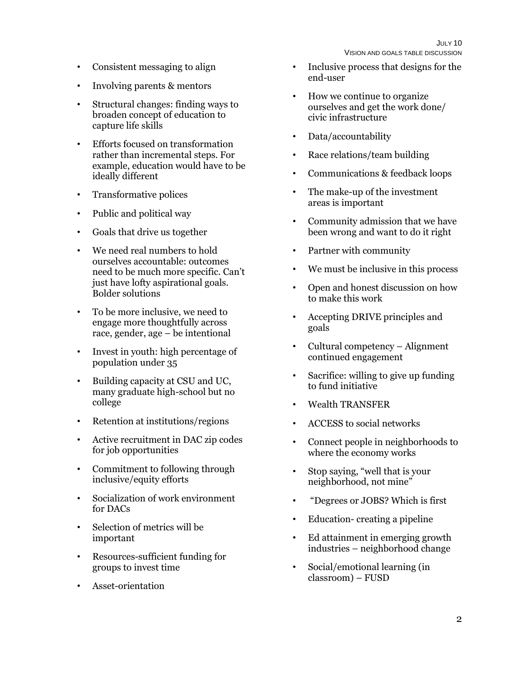- Consistent messaging to align
- Involving parents & mentors
- Structural changes: finding ways to broaden concept of education to capture life skills
- Efforts focused on transformation rather than incremental steps. For example, education would have to be ideally different
- Transformative polices
- Public and political way
- Goals that drive us together
- We need real numbers to hold ourselves accountable: outcomes need to be much more specific. Can't just have lofty aspirational goals. Bolder solutions
- To be more inclusive, we need to engage more thoughtfully across race, gender, age – be intentional
- Invest in youth: high percentage of population under 35
- Building capacity at CSU and UC, many graduate high-school but no college
- Retention at institutions/regions
- Active recruitment in DAC zip codes for job opportunities
- Commitment to following through inclusive/equity efforts
- Socialization of work environment for DACs
- Selection of metrics will be important
- Resources-sufficient funding for groups to invest time
- Asset-orientation
- Inclusive process that designs for the end-user
- How we continue to organize ourselves and get the work done/ civic infrastructure
- Data/accountability
- Race relations/team building
- Communications & feedback loops
- The make-up of the investment areas is important
- Community admission that we have been wrong and want to do it right
- Partner with community
- We must be inclusive in this process
- Open and honest discussion on how to make this work
- Accepting DRIVE principles and goals
- Cultural competency Alignment continued engagement
- Sacrifice: willing to give up funding to fund initiative
- Wealth TRANSFER
- ACCESS to social networks
- Connect people in neighborhoods to where the economy works
- Stop saying, "well that is your neighborhood, not mine"
- "Degrees or JOBS? Which is first
- Education-creating a pipeline
- Ed attainment in emerging growth industries – neighborhood change
- Social/emotional learning (in classroom) – FUSD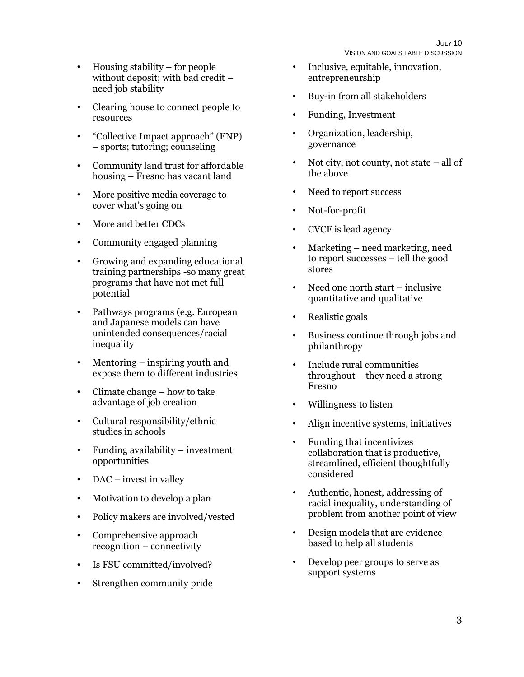- Housing stability for people without deposit; with bad credit – need job stability
- Clearing house to connect people to resources
- "Collective Impact approach" (ENP) – sports; tutoring; counseling
- Community land trust for affordable housing – Fresno has vacant land
- More positive media coverage to cover what's going on
- More and better CDCs
- Community engaged planning
- Growing and expanding educational training partnerships -so many great programs that have not met full potential
- Pathways programs (e.g. European and Japanese models can have unintended consequences/racial inequality
- Mentoring inspiring youth and expose them to different industries
- Climate change how to take advantage of job creation
- Cultural responsibility/ethnic studies in schools
- Funding availability investment opportunities
- DAC invest in valley
- Motivation to develop a plan
- Policy makers are involved/vested
- Comprehensive approach recognition – connectivity
- Is FSU committed/involved?
- Strengthen community pride
- Inclusive, equitable, innovation, entrepreneurship
- Buy-in from all stakeholders
- Funding, Investment
- Organization, leadership, governance
- Not city, not county, not state  $-$  all of the above
- Need to report success
- Not-for-profit
- CVCF is lead agency
- Marketing need marketing, need to report successes – tell the good stores
- Need one north start inclusive quantitative and qualitative
- Realistic goals
- Business continue through jobs and philanthropy
- Include rural communities throughout – they need a strong Fresno
- Willingness to listen
- Align incentive systems, initiatives
- Funding that incentivizes collaboration that is productive, streamlined, efficient thoughtfully considered
- Authentic, honest, addressing of racial inequality, understanding of problem from another point of view
- Design models that are evidence based to help all students
- Develop peer groups to serve as support systems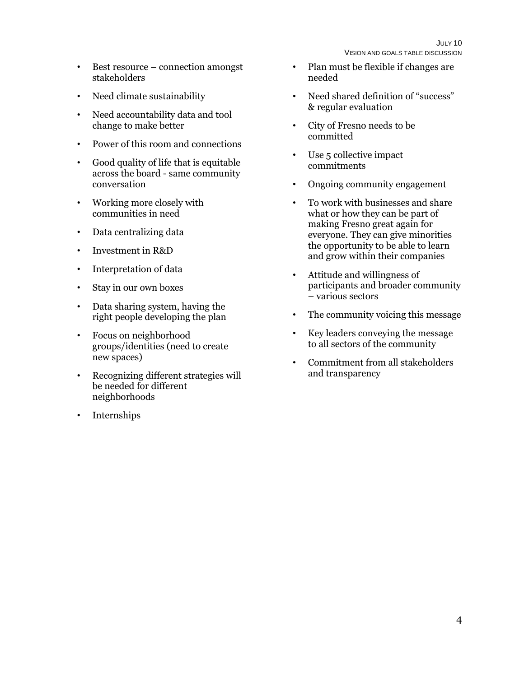- Best resource connection amongst stakeholders
- Need climate sustainability
- Need accountability data and tool change to make better
- Power of this room and connections
- Good quality of life that is equitable across the board - same community conversation
- Working more closely with communities in need
- Data centralizing data
- Investment in R&D
- Interpretation of data
- Stay in our own boxes
- Data sharing system, having the right people developing the plan
- Focus on neighborhood groups/identities (need to create new spaces)
- Recognizing different strategies will be needed for different neighborhoods
- Internships
- Plan must be flexible if changes are needed
- Need shared definition of "success" & regular evaluation
- City of Fresno needs to be committed
- Use 5 collective impact commitments
- Ongoing community engagement
- To work with businesses and share what or how they can be part of making Fresno great again for everyone. They can give minorities the opportunity to be able to learn and grow within their companies
- Attitude and willingness of participants and broader community – various sectors
- The community voicing this message
- Key leaders conveying the message to all sectors of the community
- Commitment from all stakeholders and transparency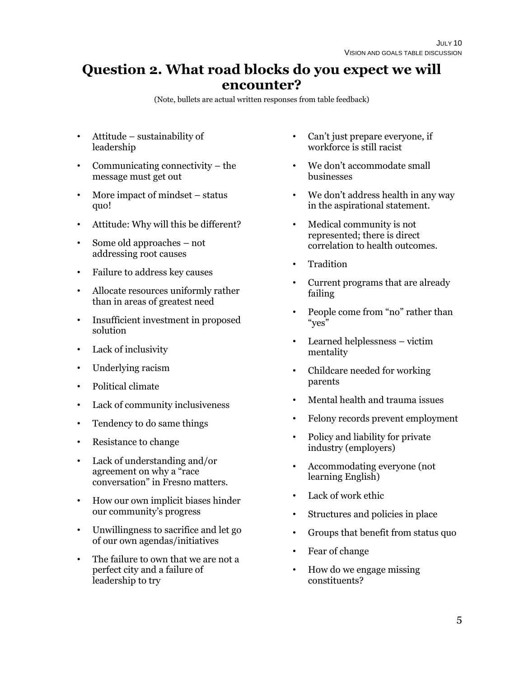### **Question 2. What road blocks do you expect we will encounter?**

- Attitude sustainability of leadership
- Communicating connectivity the message must get out
- More impact of mindset status quo!
- Attitude: Why will this be different?
- Some old approaches not addressing root causes
- Failure to address key causes
- Allocate resources uniformly rather than in areas of greatest need
- Insufficient investment in proposed solution
- Lack of inclusivity
- Underlying racism
- Political climate
- Lack of community inclusiveness
- Tendency to do same things
- Resistance to change
- Lack of understanding and/or agreement on why a "race conversation" in Fresno matters.
- How our own implicit biases hinder our community's progress
- Unwillingness to sacrifice and let go of our own agendas/initiatives
- The failure to own that we are not a perfect city and a failure of leadership to try
- Can't just prepare everyone, if workforce is still racist
- We don't accommodate small businesses
- We don't address health in any way in the aspirational statement.
- Medical community is not represented; there is direct correlation to health outcomes.
- Tradition
- Current programs that are already failing
- People come from "no" rather than "yes"
- Learned helplessness victim mentality
- Childcare needed for working parents
- Mental health and trauma issues
- Felony records prevent employment
- Policy and liability for private industry (employers)
- Accommodating everyone (not learning English)
- Lack of work ethic
- Structures and policies in place
- Groups that benefit from status quo
- Fear of change
- How do we engage missing constituents?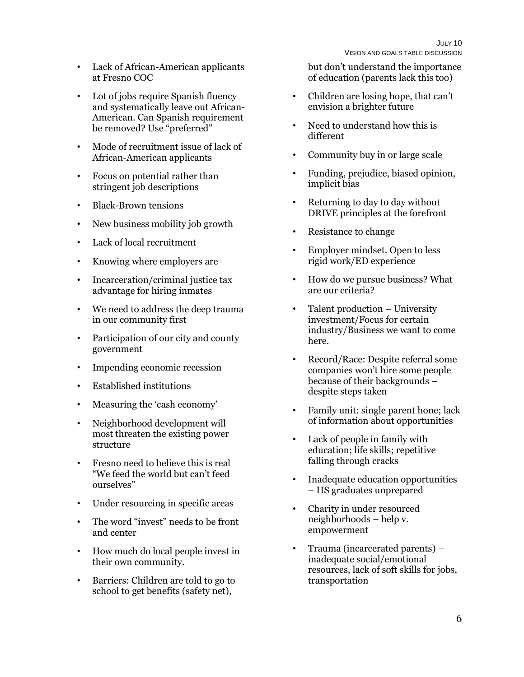- Lack of African-American applicants at Fresno COC
- Lot of jobs require Spanish fluency and systematically leave out African-American. Can Spanish requirement be removed? Use "preferred"
- Mode of recruitment issue of lack of African-American applicants
- Focus on potential rather than stringent job descriptions
- Black-Brown tensions
- New business mobility job growth
- Lack of local recruitment
- Knowing where employers are
- Incarceration/criminal justice tax advantage for hiring inmates
- We need to address the deep trauma in our community first
- Participation of our city and county government
- Impending economic recession
- Established institutions
- Measuring the 'cash economy'
- Neighborhood development will most threaten the existing power structure
- Fresno need to believe this is real "We feed the world but can't feed ourselves"
- Under resourcing in specific areas
- The word "invest" needs to be front and center
- How much do local people invest in their own community.
- Barriers: Children are told to go to school to get benefits (safety net),

but don't understand the importance of education (parents lack this too)

- Children are losing hope, that can't envision a brighter future
- Need to understand how this is different
- Community buy in or large scale
- Funding, prejudice, biased opinion, implicit bias
- Returning to day to day without DRIVE principles at the forefront
- Resistance to change
- Employer mindset. Open to less rigid work/ED experience
- How do we pursue business? What are our criteria?
- Talent production University investment/Focus for certain industry/Business we want to come here.
- Record/Race: Despite referral some companies won't hire some people because of their backgrounds – despite steps taken
- Family unit: single parent hone; lack of information about opportunities
- Lack of people in family with education; life skills; repetitive falling through cracks
- Inadequate education opportunities – HS graduates unprepared
- Charity in under resourced neighborhoods – help v. empowerment
- Trauma (incarcerated parents) inadequate social/emotional resources, lack of soft skills for jobs, transportation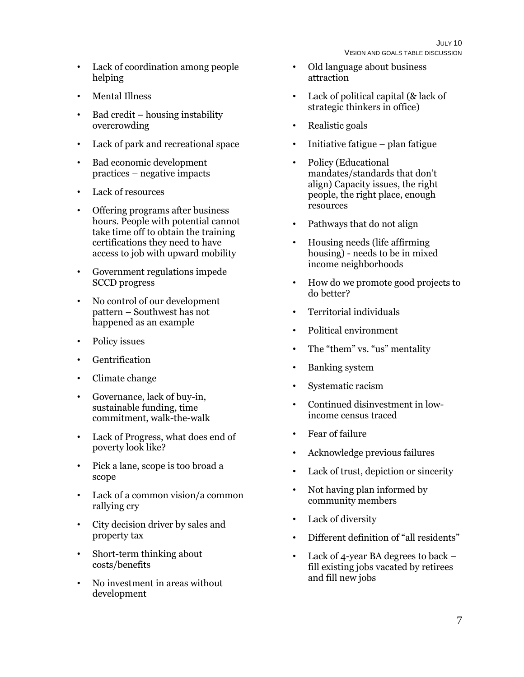- Lack of coordination among people helping
- Mental Illness
- Bad credit housing instability overcrowding
- Lack of park and recreational space
- Bad economic development practices – negative impacts
- Lack of resources
- Offering programs after business hours. People with potential cannot take time off to obtain the training certifications they need to have access to job with upward mobility
- Government regulations impede SCCD progress
- No control of our development pattern – Southwest has not happened as an example
- Policy issues
- Gentrification
- Climate change
- Governance, lack of buy-in, sustainable funding, time commitment, walk-the-walk
- Lack of Progress, what does end of poverty look like?
- Pick a lane, scope is too broad a scope
- Lack of a common vision/a common rallying cry
- City decision driver by sales and property tax
- Short-term thinking about costs/benefits
- No investment in areas without development
- Old language about business attraction
- Lack of political capital (& lack of strategic thinkers in office)
- Realistic goals
- Initiative fatigue plan fatigue
- Policy (Educational mandates/standards that don't align) Capacity issues, the right people, the right place, enough resources
- Pathways that do not align
- Housing needs (life affirming housing) - needs to be in mixed income neighborhoods
- How do we promote good projects to do better?
- Territorial individuals
- Political environment
- The "them" vs. "us" mentality
- Banking system
- Systematic racism
- Continued disinvestment in lowincome census traced
- Fear of failure
- Acknowledge previous failures
- Lack of trust, depiction or sincerity
- Not having plan informed by community members
- Lack of diversity
- Different definition of "all residents"
- Lack of 4-year BA degrees to back fill existing jobs vacated by retirees and fill new jobs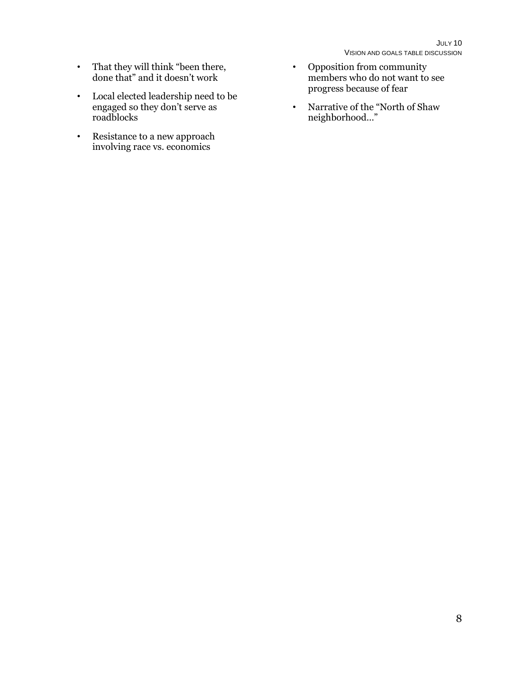- That they will think "been there, done that" and it doesn't work
- Local elected leadership need to be engaged so they don't serve as roadblocks
- Resistance to a new approach involving race vs. economics
- Opposition from community members who do not want to see progress because of fear
- Narrative of the "North of Shaw neighborhood…"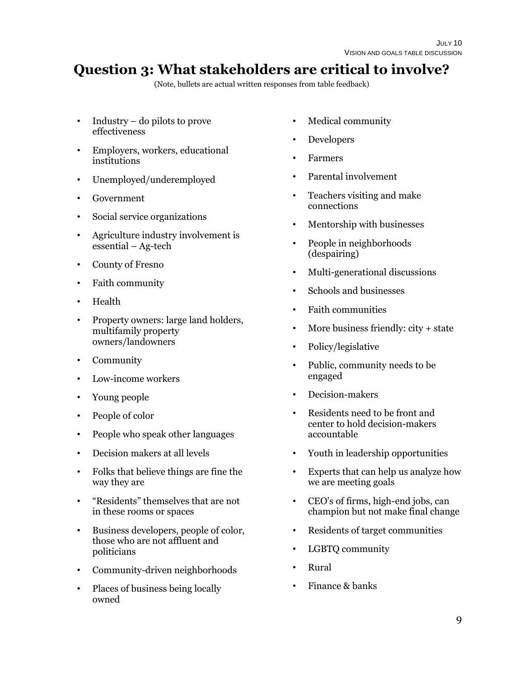# **Question 3: What stakeholders are critical to involve?**

- Industry do pilots to prove effectiveness
- Employers, workers, educational institutions
- Unemployed/underemployed
- Government
- Social service organizations
- Agriculture industry involvement is essential – Ag-tech
- County of Fresno
- Faith community
- Health
- Property owners: large land holders, multifamily property owners/landowners
- Community
- Low-income workers
- Young people
- People of color
- People who speak other languages
- Decision makers at all levels
- Folks that believe things are fine the way they are
- "Residents" themselves that are not in these rooms or spaces
- Business developers, people of color, those who are not affluent and politicians
- Community-driven neighborhoods
- Places of business being locally owned
- Medical community
- Developers
- Farmers
- Parental involvement
- Teachers visiting and make connections
- Mentorship with businesses
- People in neighborhoods (despairing)
- Multi-generational discussions
- Schools and businesses
- Faith communities
- More business friendly: city + state
- Policy/legislative
- Public, community needs to be engaged
- Decision-makers
- Residents need to be front and center to hold decision-makers accountable
- Youth in leadership opportunities
- Experts that can help us analyze how we are meeting goals
- CEO's of firms, high-end jobs, can champion but not make final change
- Residents of target communities
- LGBTQ community
- Rural
- Finance & banks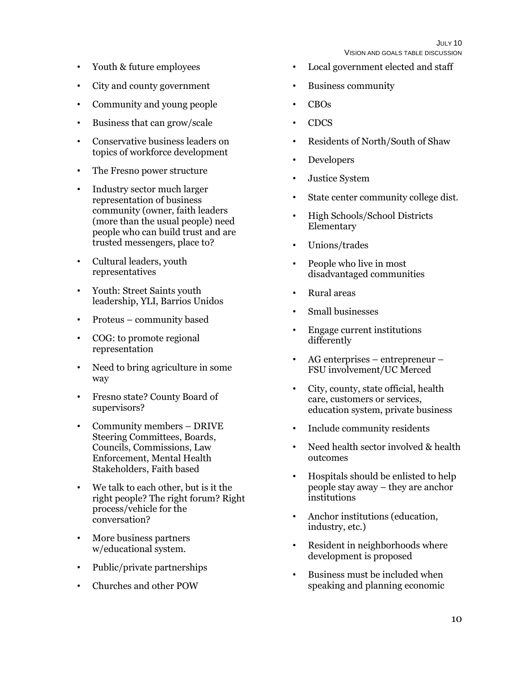JULY 10 VISION AND GOALS TABLE DISCUSSION

- Youth & future employees
- City and county government
- Community and young people
- Business that can grow/scale
- Conservative business leaders on topics of workforce development
- The Fresno power structure
- Industry sector much larger representation of business community (owner, faith leaders (more than the usual people) need people who can build trust and are trusted messengers, place to?
- Cultural leaders, youth representatives
- Youth: Street Saints youth leadership, YLI, Barrios Unidos
- Proteus community based
- COG: to promote regional representation
- Need to bring agriculture in some way
- Fresno state? County Board of supervisors?
- Community members DRIVE Steering Committees, Boards, Councils, Commissions, Law Enforcement, Mental Health Stakeholders, Faith based
- We talk to each other, but is it the right people? The right forum? Right process/vehicle for the conversation?
- More business partners w/educational system.
- Public/private partnerships
- Churches and other POW
- Local government elected and staff
- Business community
- CBOs
- CDCS
- Residents of North/South of Shaw
- Developers
- Justice System
- State center community college dist.
- High Schools/School Districts Elementary
- Unions/trades
- People who live in most disadvantaged communities
- Rural areas
- Small businesses
- Engage current institutions differently
- AG enterprises entrepreneur FSU involvement/UC Merced
- City, county, state official, health care, customers or services, education system, private business
- Include community residents
- Need health sector involved & health outcomes
- Hospitals should be enlisted to help people stay away – they are anchor institutions
- Anchor institutions (education, industry, etc.)
- Resident in neighborhoods where development is proposed
- Business must be included when speaking and planning economic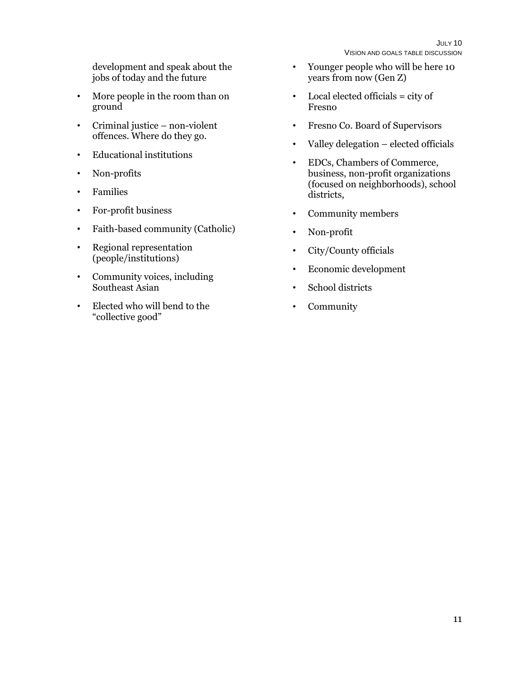development and speak about the jobs of today and the future

- More people in the room than on ground
- Criminal justice non-violent offences. Where do they go.
- Educational institutions
- Non-profits
- Families
- For-profit business
- Faith-based community (Catholic)
- Regional representation (people/institutions)
- Community voices, including Southeast Asian
- Elected who will bend to the "collective good"
- Younger people who will be here 10 years from now (Gen Z)
- Local elected officials = city of Fresno
- Fresno Co. Board of Supervisors
- Valley delegation elected officials
- EDCs, Chambers of Commerce, business, non-profit organizations (focused on neighborhoods), school districts,
- Community members
- Non-profit
- City/County officials
- Economic development
- School districts
- Community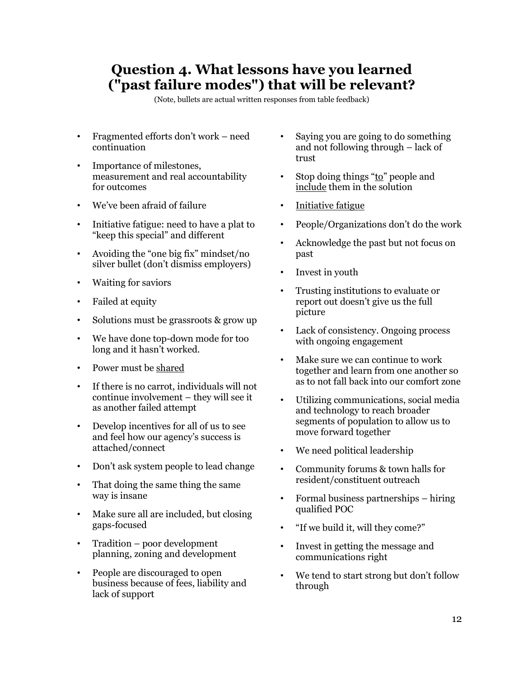### **Question 4. What lessons have you learned ("past failure modes") that will be relevant?**

- Fragmented efforts don't work need continuation
- Importance of milestones, measurement and real accountability for outcomes
- We've been afraid of failure
- Initiative fatigue: need to have a plat to "keep this special" and different
- Avoiding the "one big fix" mindset/no silver bullet (don't dismiss employers)
- Waiting for saviors
- Failed at equity
- Solutions must be grassroots & grow up
- We have done top-down mode for too long and it hasn't worked.
- Power must be shared
- If there is no carrot, individuals will not continue involvement – they will see it as another failed attempt
- Develop incentives for all of us to see and feel how our agency's success is attached/connect
- Don't ask system people to lead change
- That doing the same thing the same way is insane
- Make sure all are included, but closing gaps-focused
- Tradition poor development planning, zoning and development
- People are discouraged to open business because of fees, liability and lack of support
- Saying you are going to do something and not following through – lack of trust
- Stop doing things "to" people and include them in the solution
- Initiative fatigue
- People/Organizations don't do the work
- Acknowledge the past but not focus on past
- Invest in youth
- Trusting institutions to evaluate or report out doesn't give us the full picture
- Lack of consistency. Ongoing process with ongoing engagement
- Make sure we can continue to work together and learn from one another so as to not fall back into our comfort zone
- Utilizing communications, social media and technology to reach broader segments of population to allow us to move forward together
- We need political leadership
- Community forums & town halls for resident/constituent outreach
- Formal business partnerships hiring qualified POC
- "If we build it, will they come?"
- Invest in getting the message and communications right
- We tend to start strong but don't follow through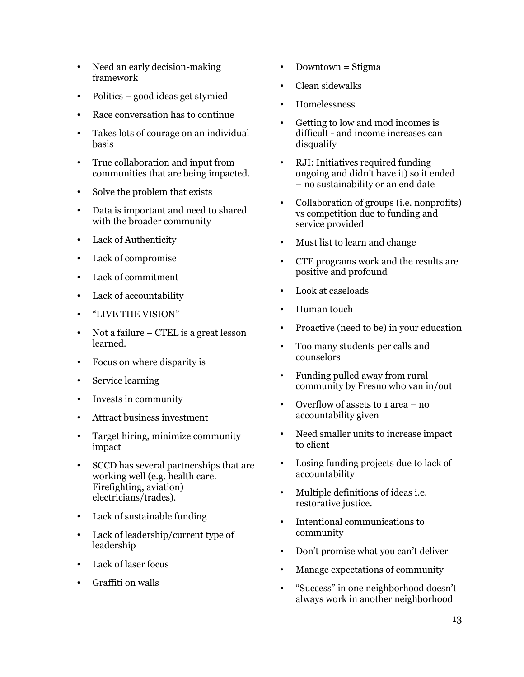- Need an early decision-making framework
- Politics good ideas get stymied
- Race conversation has to continue
- Takes lots of courage on an individual basis
- True collaboration and input from communities that are being impacted.
- Solve the problem that exists
- Data is important and need to shared with the broader community
- Lack of Authenticity
- Lack of compromise
- Lack of commitment
- Lack of accountability
- "LIVE THE VISION"
- Not a failure CTEL is a great lesson learned.
- Focus on where disparity is
- Service learning
- Invests in community
- Attract business investment
- Target hiring, minimize community impact
- SCCD has several partnerships that are working well (e.g. health care. Firefighting, aviation) electricians/trades).
- Lack of sustainable funding
- Lack of leadership/current type of leadership
- Lack of laser focus
- Graffiti on walls
- Downtown = Stigma
- Clean sidewalks
- Homelessness
- Getting to low and mod incomes is difficult - and income increases can disqualify
- RJI: Initiatives required funding ongoing and didn't have it) so it ended – no sustainability or an end date
- Collaboration of groups (i.e. nonprofits) vs competition due to funding and service provided
- Must list to learn and change
- CTE programs work and the results are positive and profound
- Look at caseloads
- Human touch
- Proactive (need to be) in your education
- Too many students per calls and counselors
- Funding pulled away from rural community by Fresno who van in/out
- Overflow of assets to 1 area no accountability given
- Need smaller units to increase impact to client
- Losing funding projects due to lack of accountability
- Multiple definitions of ideas i.e. restorative justice.
- Intentional communications to community
- Don't promise what you can't deliver
- Manage expectations of community
- "Success" in one neighborhood doesn't always work in another neighborhood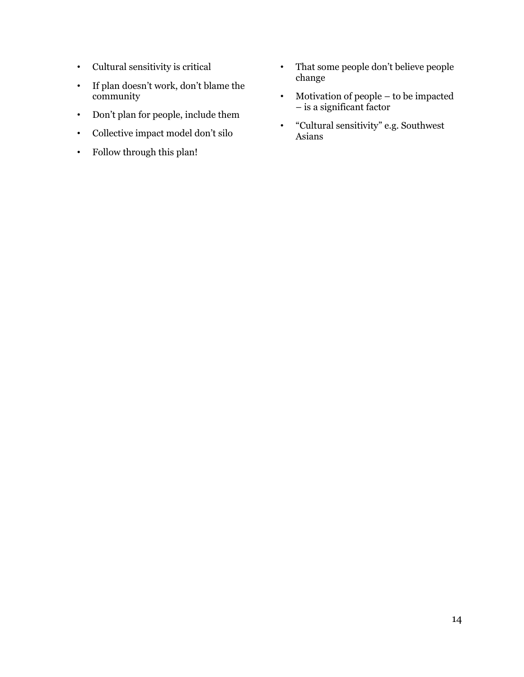- Cultural sensitivity is critical
- If plan doesn't work, don't blame the community
- Don't plan for people, include them
- Collective impact model don't silo
- Follow through this plan!
- That some people don't believe people change
- Motivation of people to be impacted – is a significant factor
- "Cultural sensitivity" e.g. Southwest Asians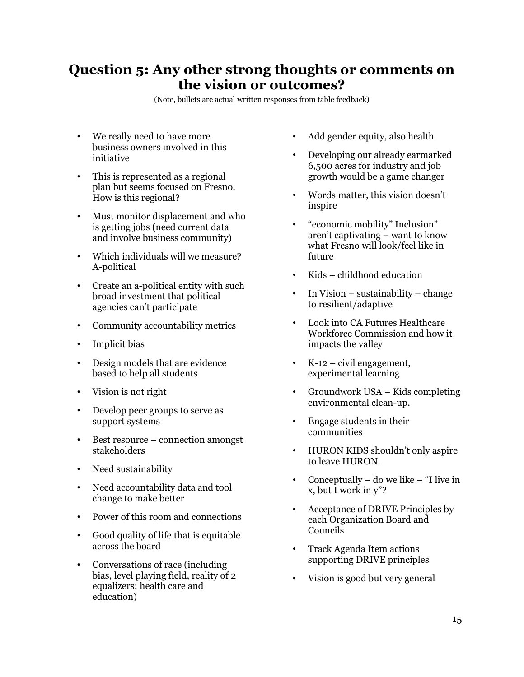### **Question 5: Any other strong thoughts or comments on the vision or outcomes?**

- We really need to have more business owners involved in this initiative
- This is represented as a regional plan but seems focused on Fresno. How is this regional?
- Must monitor displacement and who is getting jobs (need current data and involve business community)
- Which individuals will we measure? A-political
- Create an a-political entity with such broad investment that political agencies can't participate
- Community accountability metrics
- Implicit bias
- Design models that are evidence based to help all students
- Vision is not right
- Develop peer groups to serve as support systems
- Best resource connection amongst stakeholders
- Need sustainability
- Need accountability data and tool change to make better
- Power of this room and connections
- Good quality of life that is equitable across the board
- Conversations of race (including bias, level playing field, reality of 2 equalizers: health care and education)
- Add gender equity, also health
- Developing our already earmarked 6,500 acres for industry and job growth would be a game changer
- Words matter, this vision doesn't inspire
- "economic mobility" Inclusion" aren't captivating – want to know what Fresno will look/feel like in future
- Kids childhood education
- In Vision sustainability change to resilient/adaptive
- Look into CA Futures Healthcare Workforce Commission and how it impacts the valley
- K-12 civil engagement, experimental learning
- Groundwork USA Kids completing environmental clean-up.
- Engage students in their communities
- HURON KIDS shouldn't only aspire to leave HURON.
- Conceptually do we like "I live in x, but I work in y"?
- Acceptance of DRIVE Principles by each Organization Board and Councils
- Track Agenda Item actions supporting DRIVE principles
- Vision is good but very general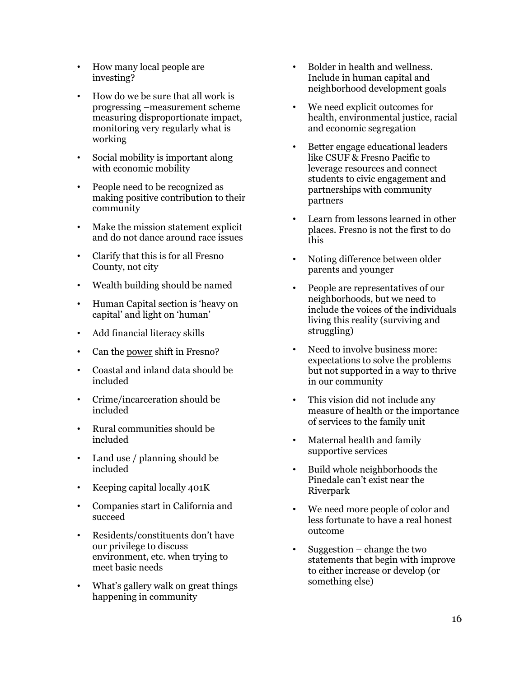- How many local people are investing?
- How do we be sure that all work is progressing –measurement scheme measuring disproportionate impact, monitoring very regularly what is working
- Social mobility is important along with economic mobility
- People need to be recognized as making positive contribution to their community
- Make the mission statement explicit and do not dance around race issues
- Clarify that this is for all Fresno County, not city
- Wealth building should be named
- Human Capital section is 'heavy on capital' and light on 'human'
- Add financial literacy skills
- Can the power shift in Fresno?
- Coastal and inland data should be included
- Crime/incarceration should be included
- Rural communities should be included
- Land use / planning should be included
- Keeping capital locally 401K
- Companies start in California and succeed
- Residents/constituents don't have our privilege to discuss environment, etc. when trying to meet basic needs
- What's gallery walk on great things happening in community
- Bolder in health and wellness. Include in human capital and neighborhood development goals
- We need explicit outcomes for health, environmental justice, racial and economic segregation
- Better engage educational leaders like CSUF & Fresno Pacific to leverage resources and connect students to civic engagement and partnerships with community partners
- Learn from lessons learned in other places. Fresno is not the first to do this
- Noting difference between older parents and younger
- People are representatives of our neighborhoods, but we need to include the voices of the individuals living this reality (surviving and struggling)
- Need to involve business more: expectations to solve the problems but not supported in a way to thrive in our community
- This vision did not include any measure of health or the importance of services to the family unit
- Maternal health and family supportive services
- Build whole neighborhoods the Pinedale can't exist near the Riverpark
- We need more people of color and less fortunate to have a real honest outcome
- Suggestion  $-$  change the two statements that begin with improve to either increase or develop (or something else)